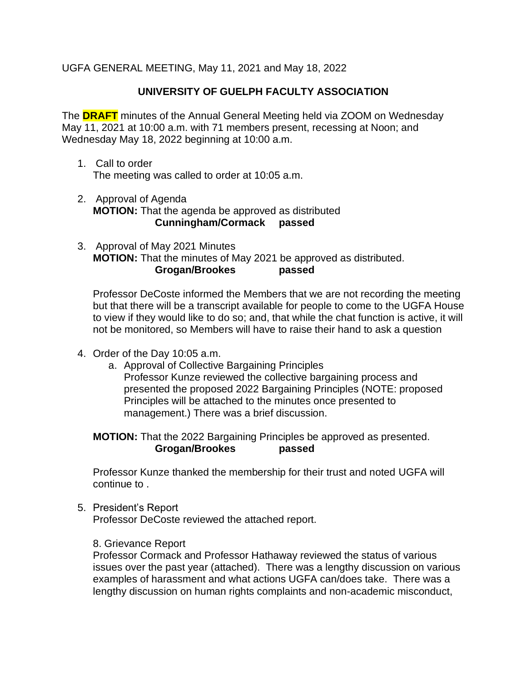UGFA GENERAL MEETING, May 11, 2021 and May 18, 2022

# **UNIVERSITY OF GUELPH FACULTY ASSOCIATION**

The **DRAFT** minutes of the Annual General Meeting held via ZOOM on Wednesday May 11, 2021 at 10:00 a.m. with 71 members present, recessing at Noon; and Wednesday May 18, 2022 beginning at 10:00 a.m.

- 1. Call to order The meeting was called to order at 10:05 a.m.
- 2. Approval of Agenda **MOTION:** That the agenda be approved as distributed **Cunningham/Cormack passed**
- 3. Approval of May 2021 Minutes **MOTION:** That the minutes of May 2021 be approved as distributed. **Grogan/Brookes passed**

Professor DeCoste informed the Members that we are not recording the meeting but that there will be a transcript available for people to come to the UGFA House to view if they would like to do so; and, that while the chat function is active, it will not be monitored, so Members will have to raise their hand to ask a question

- 4. Order of the Day 10:05 a.m.
	- a. Approval of Collective Bargaining Principles Professor Kunze reviewed the collective bargaining process and presented the proposed 2022 Bargaining Principles (NOTE: proposed Principles will be attached to the minutes once presented to management.) There was a brief discussion.

**MOTION:** That the 2022 Bargaining Principles be approved as presented. **Grogan/Brookes passed**

Professor Kunze thanked the membership for their trust and noted UGFA will continue to .

5. President's Report

Professor DeCoste reviewed the attached report.

8. Grievance Report

Professor Cormack and Professor Hathaway reviewed the status of various issues over the past year (attached). There was a lengthy discussion on various examples of harassment and what actions UGFA can/does take. There was a lengthy discussion on human rights complaints and non-academic misconduct,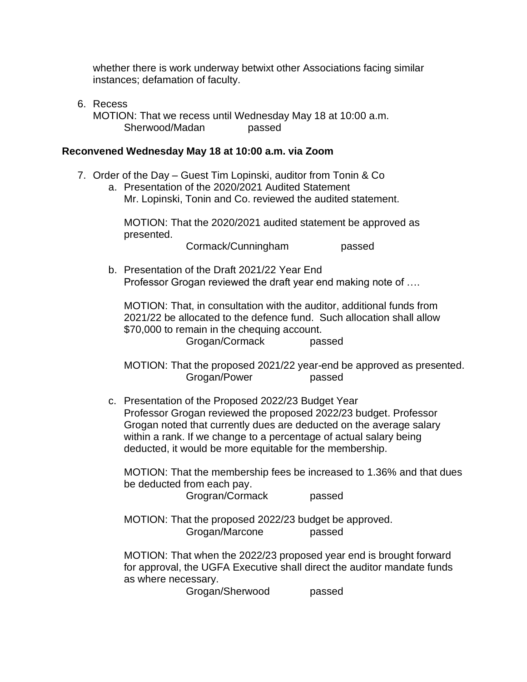whether there is work underway betwixt other Associations facing similar instances; defamation of faculty.

6. Recess MOTION: That we recess until Wednesday May 18 at 10:00 a.m. Sherwood/Madan passed

#### **Reconvened Wednesday May 18 at 10:00 a.m. via Zoom**

- 7. Order of the Day Guest Tim Lopinski, auditor from Tonin & Co
	- a. Presentation of the 2020/2021 Audited Statement Mr. Lopinski, Tonin and Co. reviewed the audited statement.

MOTION: That the 2020/2021 audited statement be approved as presented.

Cormack/Cunningham passed

b. Presentation of the Draft 2021/22 Year End Professor Grogan reviewed the draft year end making note of ….

MOTION: That, in consultation with the auditor, additional funds from 2021/22 be allocated to the defence fund. Such allocation shall allow \$70,000 to remain in the chequing account.

Grogan/Cormack passed

MOTION: That the proposed 2021/22 year-end be approved as presented. Grogan/Power passed

c. Presentation of the Proposed 2022/23 Budget Year Professor Grogan reviewed the proposed 2022/23 budget. Professor Grogan noted that currently dues are deducted on the average salary within a rank. If we change to a percentage of actual salary being deducted, it would be more equitable for the membership.

MOTION: That the membership fees be increased to 1.36% and that dues be deducted from each pay.

Grogran/Cormack passed

MOTION: That the proposed 2022/23 budget be approved. Grogan/Marcone passed

MOTION: That when the 2022/23 proposed year end is brought forward for approval, the UGFA Executive shall direct the auditor mandate funds as where necessary.

Grogan/Sherwood passed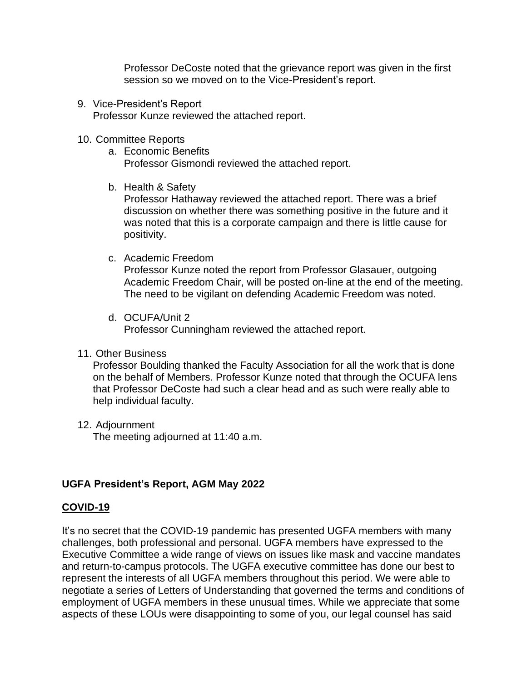Professor DeCoste noted that the grievance report was given in the first session so we moved on to the Vice-President's report.

9. Vice-President's Report Professor Kunze reviewed the attached report.

#### 10. Committee Reports

- a. Economic Benefits Professor Gismondi reviewed the attached report.
- b. Health & Safety

Professor Hathaway reviewed the attached report. There was a brief discussion on whether there was something positive in the future and it was noted that this is a corporate campaign and there is little cause for positivity.

c. Academic Freedom

Professor Kunze noted the report from Professor Glasauer, outgoing Academic Freedom Chair, will be posted on-line at the end of the meeting. The need to be vigilant on defending Academic Freedom was noted.

d. OCUFA/Unit 2

Professor Cunningham reviewed the attached report.

11. Other Business

Professor Boulding thanked the Faculty Association for all the work that is done on the behalf of Members. Professor Kunze noted that through the OCUFA lens that Professor DeCoste had such a clear head and as such were really able to help individual faculty.

12. Adjournment

The meeting adjourned at 11:40 a.m.

# **UGFA President's Report, AGM May 2022**

# **COVID-19**

It's no secret that the COVID-19 pandemic has presented UGFA members with many challenges, both professional and personal. UGFA members have expressed to the Executive Committee a wide range of views on issues like mask and vaccine mandates and return-to-campus protocols. The UGFA executive committee has done our best to represent the interests of all UGFA members throughout this period. We were able to negotiate a series of Letters of Understanding that governed the terms and conditions of employment of UGFA members in these unusual times. While we appreciate that some aspects of these LOUs were disappointing to some of you, our legal counsel has said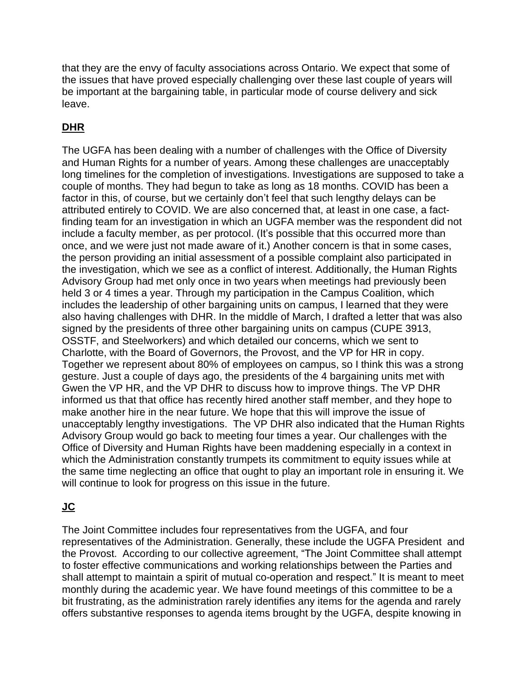that they are the envy of faculty associations across Ontario. We expect that some of the issues that have proved especially challenging over these last couple of years will be important at the bargaining table, in particular mode of course delivery and sick leave.

# **DHR**

The UGFA has been dealing with a number of challenges with the Office of Diversity and Human Rights for a number of years. Among these challenges are unacceptably long timelines for the completion of investigations. Investigations are supposed to take a couple of months. They had begun to take as long as 18 months. COVID has been a factor in this, of course, but we certainly don't feel that such lengthy delays can be attributed entirely to COVID. We are also concerned that, at least in one case, a factfinding team for an investigation in which an UGFA member was the respondent did not include a faculty member, as per protocol. (It's possible that this occurred more than once, and we were just not made aware of it.) Another concern is that in some cases, the person providing an initial assessment of a possible complaint also participated in the investigation, which we see as a conflict of interest. Additionally, the Human Rights Advisory Group had met only once in two years when meetings had previously been held 3 or 4 times a year. Through my participation in the Campus Coalition, which includes the leadership of other bargaining units on campus, I learned that they were also having challenges with DHR. In the middle of March, I drafted a letter that was also signed by the presidents of three other bargaining units on campus (CUPE 3913, OSSTF, and Steelworkers) and which detailed our concerns, which we sent to Charlotte, with the Board of Governors, the Provost, and the VP for HR in copy. Together we represent about 80% of employees on campus, so I think this was a strong gesture. Just a couple of days ago, the presidents of the 4 bargaining units met with Gwen the VP HR, and the VP DHR to discuss how to improve things. The VP DHR informed us that that office has recently hired another staff member, and they hope to make another hire in the near future. We hope that this will improve the issue of unacceptably lengthy investigations. The VP DHR also indicated that the Human Rights Advisory Group would go back to meeting four times a year. Our challenges with the Office of Diversity and Human Rights have been maddening especially in a context in which the Administration constantly trumpets its commitment to equity issues while at the same time neglecting an office that ought to play an important role in ensuring it. We will continue to look for progress on this issue in the future.

# **JC**

The Joint Committee includes four representatives from the UGFA, and four representatives of the Administration. Generally, these include the UGFA President and the Provost. According to our collective agreement, "The Joint Committee shall attempt to foster effective communications and working relationships between the Parties and shall attempt to maintain a spirit of mutual co-operation and respect." It is meant to meet monthly during the academic year. We have found meetings of this committee to be a bit frustrating, as the administration rarely identifies any items for the agenda and rarely offers substantive responses to agenda items brought by the UGFA, despite knowing in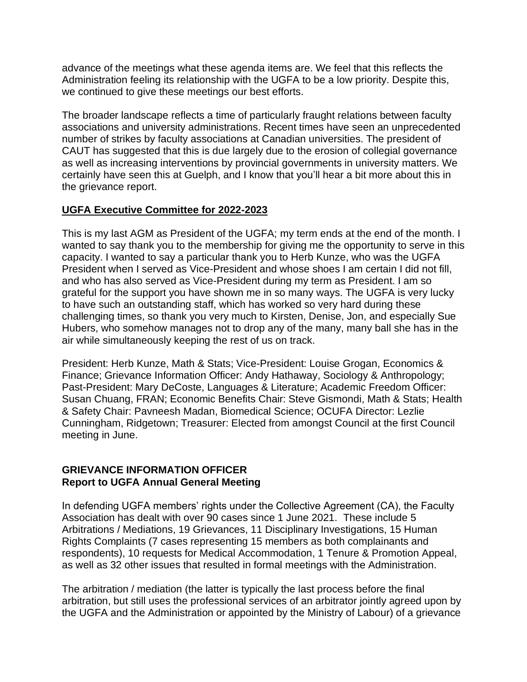advance of the meetings what these agenda items are. We feel that this reflects the Administration feeling its relationship with the UGFA to be a low priority. Despite this, we continued to give these meetings our best efforts.

The broader landscape reflects a time of particularly fraught relations between faculty associations and university administrations. Recent times have seen an unprecedented number of strikes by faculty associations at Canadian universities. The president of CAUT has suggested that this is due largely due to the erosion of collegial governance as well as increasing interventions by provincial governments in university matters. We certainly have seen this at Guelph, and I know that you'll hear a bit more about this in the grievance report.

### **UGFA Executive Committee for 2022-2023**

This is my last AGM as President of the UGFA; my term ends at the end of the month. I wanted to say thank you to the membership for giving me the opportunity to serve in this capacity. I wanted to say a particular thank you to Herb Kunze, who was the UGFA President when I served as Vice-President and whose shoes I am certain I did not fill, and who has also served as Vice-President during my term as President. I am so grateful for the support you have shown me in so many ways. The UGFA is very lucky to have such an outstanding staff, which has worked so very hard during these challenging times, so thank you very much to Kirsten, Denise, Jon, and especially Sue Hubers, who somehow manages not to drop any of the many, many ball she has in the air while simultaneously keeping the rest of us on track.

President: Herb Kunze, Math & Stats; Vice-President: Louise Grogan, Economics & Finance; Grievance Information Officer: Andy Hathaway, Sociology & Anthropology; Past-President: Mary DeCoste, Languages & Literature; Academic Freedom Officer: Susan Chuang, FRAN; Economic Benefits Chair: Steve Gismondi, Math & Stats; Health & Safety Chair: Pavneesh Madan, Biomedical Science; OCUFA Director: Lezlie Cunningham, Ridgetown; Treasurer: Elected from amongst Council at the first Council meeting in June.

#### **GRIEVANCE INFORMATION OFFICER Report to UGFA Annual General Meeting**

In defending UGFA members' rights under the Collective Agreement (CA), the Faculty Association has dealt with over 90 cases since 1 June 2021. These include 5 Arbitrations / Mediations, 19 Grievances, 11 Disciplinary Investigations, 15 Human Rights Complaints (7 cases representing 15 members as both complainants and respondents), 10 requests for Medical Accommodation, 1 Tenure & Promotion Appeal, as well as 32 other issues that resulted in formal meetings with the Administration.

The arbitration / mediation (the latter is typically the last process before the final arbitration, but still uses the professional services of an arbitrator jointly agreed upon by the UGFA and the Administration or appointed by the Ministry of Labour) of a grievance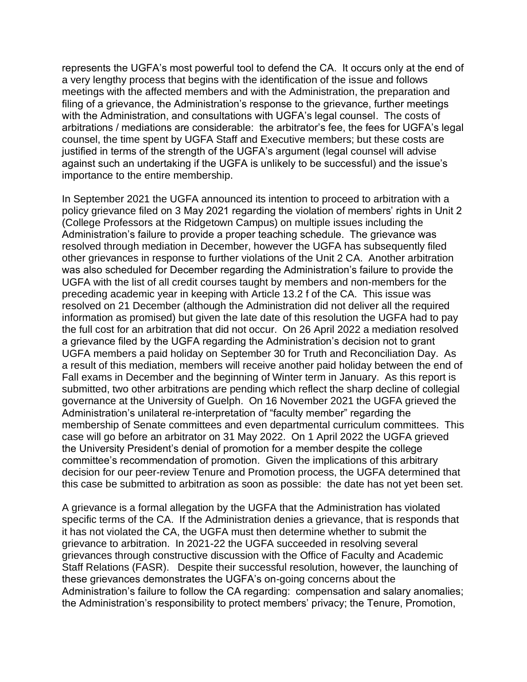represents the UGFA's most powerful tool to defend the CA. It occurs only at the end of a very lengthy process that begins with the identification of the issue and follows meetings with the affected members and with the Administration, the preparation and filing of a grievance, the Administration's response to the grievance, further meetings with the Administration, and consultations with UGFA's legal counsel. The costs of arbitrations / mediations are considerable: the arbitrator's fee, the fees for UGFA's legal counsel, the time spent by UGFA Staff and Executive members; but these costs are justified in terms of the strength of the UGFA's argument (legal counsel will advise against such an undertaking if the UGFA is unlikely to be successful) and the issue's importance to the entire membership.

In September 2021 the UGFA announced its intention to proceed to arbitration with a policy grievance filed on 3 May 2021 regarding the violation of members' rights in Unit 2 (College Professors at the Ridgetown Campus) on multiple issues including the Administration's failure to provide a proper teaching schedule. The grievance was resolved through mediation in December, however the UGFA has subsequently filed other grievances in response to further violations of the Unit 2 CA. Another arbitration was also scheduled for December regarding the Administration's failure to provide the UGFA with the list of all credit courses taught by members and non-members for the preceding academic year in keeping with Article 13.2 f of the CA. This issue was resolved on 21 December (although the Administration did not deliver all the required information as promised) but given the late date of this resolution the UGFA had to pay the full cost for an arbitration that did not occur. On 26 April 2022 a mediation resolved a grievance filed by the UGFA regarding the Administration's decision not to grant UGFA members a paid holiday on September 30 for Truth and Reconciliation Day. As a result of this mediation, members will receive another paid holiday between the end of Fall exams in December and the beginning of Winter term in January. As this report is submitted, two other arbitrations are pending which reflect the sharp decline of collegial governance at the University of Guelph. On 16 November 2021 the UGFA grieved the Administration's unilateral re-interpretation of "faculty member" regarding the membership of Senate committees and even departmental curriculum committees. This case will go before an arbitrator on 31 May 2022. On 1 April 2022 the UGFA grieved the University President's denial of promotion for a member despite the college committee's recommendation of promotion. Given the implications of this arbitrary decision for our peer-review Tenure and Promotion process, the UGFA determined that this case be submitted to arbitration as soon as possible: the date has not yet been set.

A grievance is a formal allegation by the UGFA that the Administration has violated specific terms of the CA. If the Administration denies a grievance, that is responds that it has not violated the CA, the UGFA must then determine whether to submit the grievance to arbitration. In 2021-22 the UGFA succeeded in resolving several grievances through constructive discussion with the Office of Faculty and Academic Staff Relations (FASR). Despite their successful resolution, however, the launching of these grievances demonstrates the UGFA's on-going concerns about the Administration's failure to follow the CA regarding: compensation and salary anomalies; the Administration's responsibility to protect members' privacy; the Tenure, Promotion,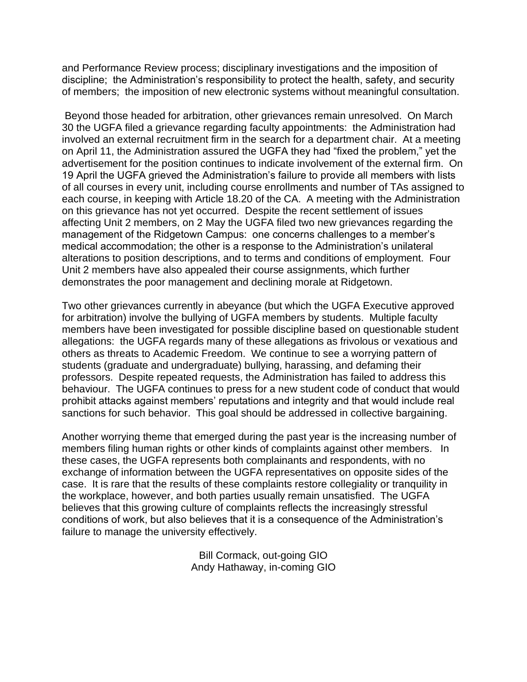and Performance Review process; disciplinary investigations and the imposition of discipline; the Administration's responsibility to protect the health, safety, and security of members; the imposition of new electronic systems without meaningful consultation.

Beyond those headed for arbitration, other grievances remain unresolved. On March 30 the UGFA filed a grievance regarding faculty appointments: the Administration had involved an external recruitment firm in the search for a department chair. At a meeting on April 11, the Administration assured the UGFA they had "fixed the problem," yet the advertisement for the position continues to indicate involvement of the external firm. On 19 April the UGFA grieved the Administration's failure to provide all members with lists of all courses in every unit, including course enrollments and number of TAs assigned to each course, in keeping with Article 18.20 of the CA. A meeting with the Administration on this grievance has not yet occurred. Despite the recent settlement of issues affecting Unit 2 members, on 2 May the UGFA filed two new grievances regarding the management of the Ridgetown Campus: one concerns challenges to a member's medical accommodation; the other is a response to the Administration's unilateral alterations to position descriptions, and to terms and conditions of employment. Four Unit 2 members have also appealed their course assignments, which further demonstrates the poor management and declining morale at Ridgetown.

Two other grievances currently in abeyance (but which the UGFA Executive approved for arbitration) involve the bullying of UGFA members by students. Multiple faculty members have been investigated for possible discipline based on questionable student allegations: the UGFA regards many of these allegations as frivolous or vexatious and others as threats to Academic Freedom. We continue to see a worrying pattern of students (graduate and undergraduate) bullying, harassing, and defaming their professors. Despite repeated requests, the Administration has failed to address this behaviour. The UGFA continues to press for a new student code of conduct that would prohibit attacks against members' reputations and integrity and that would include real sanctions for such behavior. This goal should be addressed in collective bargaining.

Another worrying theme that emerged during the past year is the increasing number of members filing human rights or other kinds of complaints against other members. In these cases, the UGFA represents both complainants and respondents, with no exchange of information between the UGFA representatives on opposite sides of the case. It is rare that the results of these complaints restore collegiality or tranquility in the workplace, however, and both parties usually remain unsatisfied. The UGFA believes that this growing culture of complaints reflects the increasingly stressful conditions of work, but also believes that it is a consequence of the Administration's failure to manage the university effectively.

> Bill Cormack, out-going GIO Andy Hathaway, in-coming GIO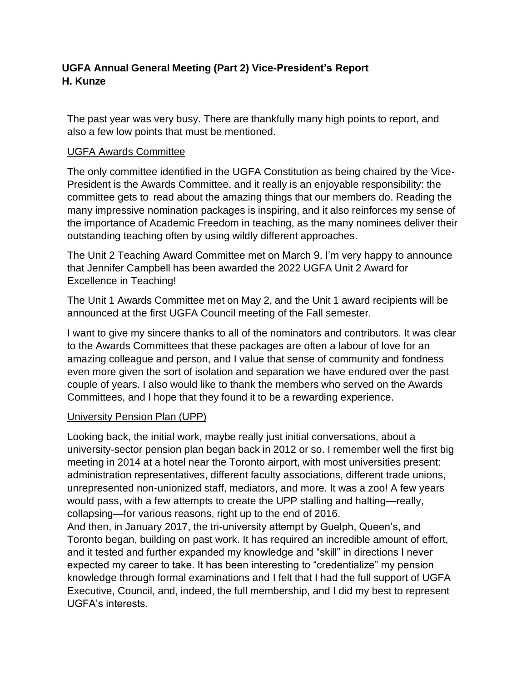# **UGFA Annual General Meeting (Part 2) Vice-President's Report H. Kunze**

The past year was very busy. There are thankfully many high points to report, and also a few low points that must be mentioned.

# UGFA Awards Committee

The only committee identified in the UGFA Constitution as being chaired by the Vice-President is the Awards Committee, and it really is an enjoyable responsibility: the committee gets to read about the amazing things that our members do. Reading the many impressive nomination packages is inspiring, and it also reinforces my sense of the importance of Academic Freedom in teaching, as the many nominees deliver their outstanding teaching often by using wildly different approaches.

The Unit 2 Teaching Award Committee met on March 9. I'm very happy to announce that Jennifer Campbell has been awarded the 2022 UGFA Unit 2 Award for Excellence in Teaching!

The Unit 1 Awards Committee met on May 2, and the Unit 1 award recipients will be announced at the first UGFA Council meeting of the Fall semester.

I want to give my sincere thanks to all of the nominators and contributors. It was clear to the Awards Committees that these packages are often a labour of love for an amazing colleague and person, and I value that sense of community and fondness even more given the sort of isolation and separation we have endured over the past couple of years. I also would like to thank the members who served on the Awards Committees, and I hope that they found it to be a rewarding experience.

# University Pension Plan (UPP)

Looking back, the initial work, maybe really just initial conversations, about a university-sector pension plan began back in 2012 or so. I remember well the first big meeting in 2014 at a hotel near the Toronto airport, with most universities present: administration representatives, different faculty associations, different trade unions, unrepresented non-unionized staff, mediators, and more. It was a zoo! A few years would pass, with a few attempts to create the UPP stalling and halting—really, collapsing—for various reasons, right up to the end of 2016.

And then, in January 2017, the tri-university attempt by Guelph, Queen's, and Toronto began, building on past work. It has required an incredible amount of effort, and it tested and further expanded my knowledge and "skill" in directions I never expected my career to take. It has been interesting to "credentialize" my pension knowledge through formal examinations and I felt that I had the full support of UGFA Executive, Council, and, indeed, the full membership, and I did my best to represent UGFA's interests.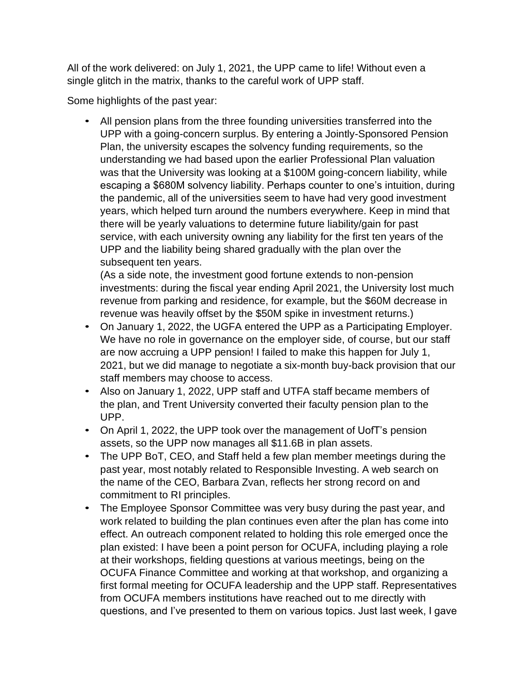All of the work delivered: on July 1, 2021, the UPP came to life! Without even a single glitch in the matrix, thanks to the careful work of UPP staff.

Some highlights of the past year:

• All pension plans from the three founding universities transferred into the UPP with a going-concern surplus. By entering a Jointly-Sponsored Pension Plan, the university escapes the solvency funding requirements, so the understanding we had based upon the earlier Professional Plan valuation was that the University was looking at a \$100M going-concern liability, while escaping a \$680M solvency liability. Perhaps counter to one's intuition, during the pandemic, all of the universities seem to have had very good investment years, which helped turn around the numbers everywhere. Keep in mind that there will be yearly valuations to determine future liability/gain for past service, with each university owning any liability for the first ten years of the UPP and the liability being shared gradually with the plan over the subsequent ten years.

(As a side note, the investment good fortune extends to non-pension investments: during the fiscal year ending April 2021, the University lost much revenue from parking and residence, for example, but the \$60M decrease in revenue was heavily offset by the \$50M spike in investment returns.)

- On January 1, 2022, the UGFA entered the UPP as a Participating Employer. We have no role in governance on the employer side, of course, but our staff are now accruing a UPP pension! I failed to make this happen for July 1, 2021, but we did manage to negotiate a six-month buy-back provision that our staff members may choose to access.
- Also on January 1, 2022, UPP staff and UTFA staff became members of the plan, and Trent University converted their faculty pension plan to the UPP.
- On April 1, 2022, the UPP took over the management of UofT's pension assets, so the UPP now manages all \$11.6B in plan assets.
- The UPP BoT, CEO, and Staff held a few plan member meetings during the past year, most notably related to Responsible Investing. A web search on the name of the CEO, Barbara Zvan, reflects her strong record on and commitment to RI principles.
- The Employee Sponsor Committee was very busy during the past year, and work related to building the plan continues even after the plan has come into effect. An outreach component related to holding this role emerged once the plan existed: I have been a point person for OCUFA, including playing a role at their workshops, fielding questions at various meetings, being on the OCUFA Finance Committee and working at that workshop, and organizing a first formal meeting for OCUFA leadership and the UPP staff. Representatives from OCUFA members institutions have reached out to me directly with questions, and I've presented to them on various topics. Just last week, I gave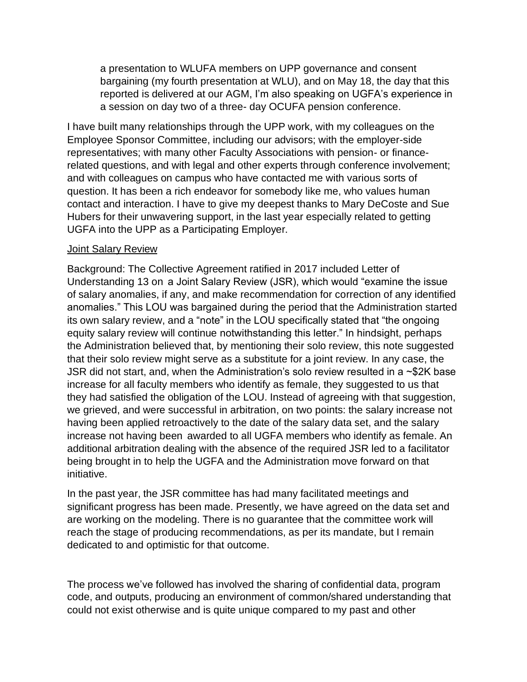a presentation to WLUFA members on UPP governance and consent bargaining (my fourth presentation at WLU), and on May 18, the day that this reported is delivered at our AGM, I'm also speaking on UGFA's experience in a session on day two of a three- day OCUFA pension conference.

I have built many relationships through the UPP work, with my colleagues on the Employee Sponsor Committee, including our advisors; with the employer-side representatives; with many other Faculty Associations with pension- or financerelated questions, and with legal and other experts through conference involvement; and with colleagues on campus who have contacted me with various sorts of question. It has been a rich endeavor for somebody like me, who values human contact and interaction. I have to give my deepest thanks to Mary DeCoste and Sue Hubers for their unwavering support, in the last year especially related to getting UGFA into the UPP as a Participating Employer.

#### Joint Salary Review

Background: The Collective Agreement ratified in 2017 included Letter of Understanding 13 on a Joint Salary Review (JSR), which would "examine the issue of salary anomalies, if any, and make recommendation for correction of any identified anomalies." This LOU was bargained during the period that the Administration started its own salary review, and a "note" in the LOU specifically stated that "the ongoing equity salary review will continue notwithstanding this letter." In hindsight, perhaps the Administration believed that, by mentioning their solo review, this note suggested that their solo review might serve as a substitute for a joint review. In any case, the JSR did not start, and, when the Administration's solo review resulted in a ~\$2K base increase for all faculty members who identify as female, they suggested to us that they had satisfied the obligation of the LOU. Instead of agreeing with that suggestion, we grieved, and were successful in arbitration, on two points: the salary increase not having been applied retroactively to the date of the salary data set, and the salary increase not having been awarded to all UGFA members who identify as female. An additional arbitration dealing with the absence of the required JSR led to a facilitator being brought in to help the UGFA and the Administration move forward on that initiative.

In the past year, the JSR committee has had many facilitated meetings and significant progress has been made. Presently, we have agreed on the data set and are working on the modeling. There is no guarantee that the committee work will reach the stage of producing recommendations, as per its mandate, but I remain dedicated to and optimistic for that outcome.

The process we've followed has involved the sharing of confidential data, program code, and outputs, producing an environment of common/shared understanding that could not exist otherwise and is quite unique compared to my past and other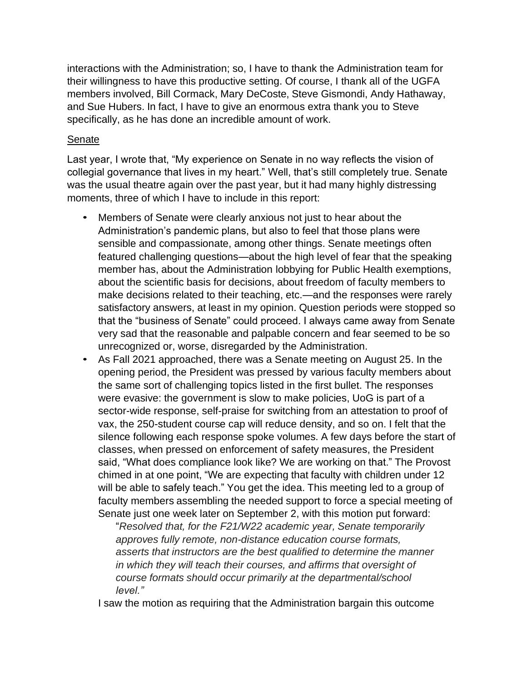interactions with the Administration; so, I have to thank the Administration team for their willingness to have this productive setting. Of course, I thank all of the UGFA members involved, Bill Cormack, Mary DeCoste, Steve Gismondi, Andy Hathaway, and Sue Hubers. In fact, I have to give an enormous extra thank you to Steve specifically, as he has done an incredible amount of work.

#### **Senate**

Last year, I wrote that, "My experience on Senate in no way reflects the vision of collegial governance that lives in my heart." Well, that's still completely true. Senate was the usual theatre again over the past year, but it had many highly distressing moments, three of which I have to include in this report:

- Members of Senate were clearly anxious not just to hear about the Administration's pandemic plans, but also to feel that those plans were sensible and compassionate, among other things. Senate meetings often featured challenging questions—about the high level of fear that the speaking member has, about the Administration lobbying for Public Health exemptions, about the scientific basis for decisions, about freedom of faculty members to make decisions related to their teaching, etc.—and the responses were rarely satisfactory answers, at least in my opinion. Question periods were stopped so that the "business of Senate" could proceed. I always came away from Senate very sad that the reasonable and palpable concern and fear seemed to be so unrecognized or, worse, disregarded by the Administration.
- As Fall 2021 approached, there was a Senate meeting on August 25. In the opening period, the President was pressed by various faculty members about the same sort of challenging topics listed in the first bullet. The responses were evasive: the government is slow to make policies, UoG is part of a sector-wide response, self-praise for switching from an attestation to proof of vax, the 250-student course cap will reduce density, and so on. I felt that the silence following each response spoke volumes. A few days before the start of classes, when pressed on enforcement of safety measures, the President said, "What does compliance look like? We are working on that." The Provost chimed in at one point, "We are expecting that faculty with children under 12 will be able to safely teach." You get the idea. This meeting led to a group of faculty members assembling the needed support to force a special meeting of Senate just one week later on September 2, with this motion put forward:

"*Resolved that, for the F21/W22 academic year, Senate temporarily approves fully remote, non-distance education course formats, asserts that instructors are the best qualified to determine the manner in which they will teach their courses, and affirms that oversight of course formats should occur primarily at the departmental/school level."*

I saw the motion as requiring that the Administration bargain this outcome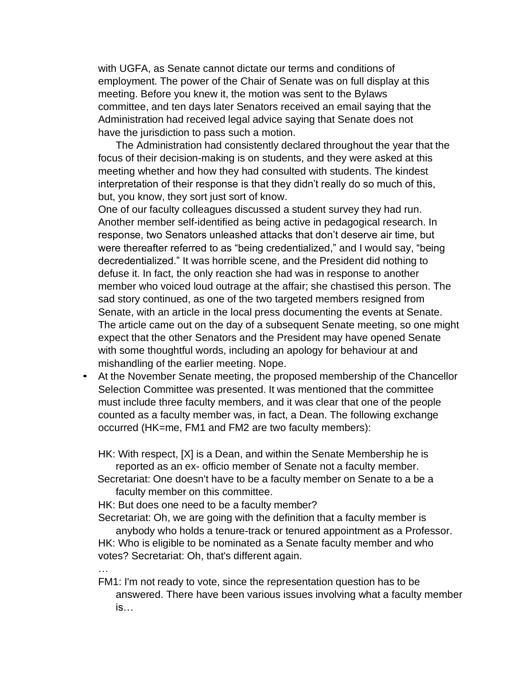with UGFA, as Senate cannot dictate our terms and conditions of employment. The power of the Chair of Senate was on full display at this meeting. Before you knew it, the motion was sent to the Bylaws committee, and ten days later Senators received an email saying that the Administration had received legal advice saying that Senate does not have the jurisdiction to pass such a motion.

The Administration had consistently declared throughout the year that the focus of their decision-making is on students, and they were asked at this meeting whether and how they had consulted with students. The kindest interpretation of their response is that they didn't really do so much of this, but, you know, they sort just sort of know.

One of our faculty colleagues discussed a student survey they had run. Another member self-identified as being active in pedagogical research. In response, two Senators unleashed attacks that don't deserve air time, but were thereafter referred to as "being credentialized," and I would say, "being decredentialized." It was horrible scene, and the President did nothing to defuse it. In fact, the only reaction she had was in response to another member who voiced loud outrage at the affair; she chastised this person. The sad story continued, as one of the two targeted members resigned from Senate, with an article in the local press documenting the events at Senate. The article came out on the day of a subsequent Senate meeting, so one might expect that the other Senators and the President may have opened Senate with some thoughtful words, including an apology for behaviour at and mishandling of the earlier meeting. Nope.

• At the November Senate meeting, the proposed membership of the Chancellor Selection Committee was presented. It was mentioned that the committee must include three faculty members, and it was clear that one of the people counted as a faculty member was, in fact, a Dean. The following exchange occurred (HK=me, FM1 and FM2 are two faculty members):

HK: With respect, [X] is a Dean, and within the Senate Membership he is reported as an ex- officio member of Senate not a faculty member.

Secretariat: One doesn't have to be a faculty member on Senate to a be a faculty member on this committee.

HK: But does one need to be a faculty member?

…

Secretariat: Oh, we are going with the definition that a faculty member is

anybody who holds a tenure-track or tenured appointment as a Professor. HK: Who is eligible to be nominated as a Senate faculty member and who votes? Secretariat: Oh, that's different again.

FM1: I'm not ready to vote, since the representation question has to be answered. There have been various issues involving what a faculty member is…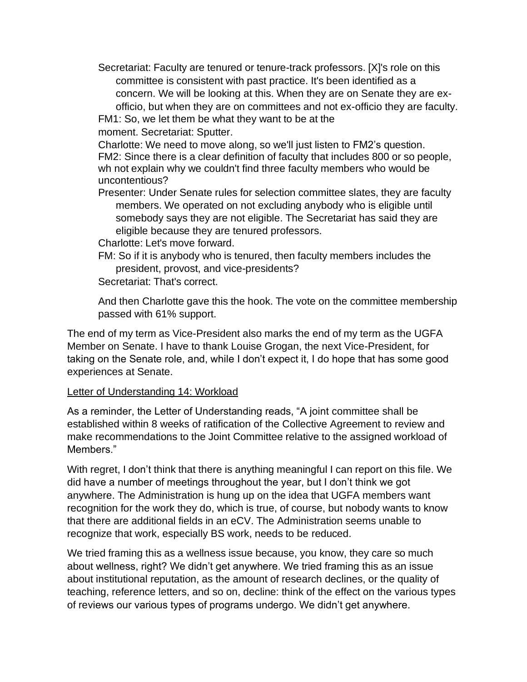Secretariat: Faculty are tenured or tenure-track professors. [X]'s role on this committee is consistent with past practice. It's been identified as a concern. We will be looking at this. When they are on Senate they are exofficio, but when they are on committees and not ex-officio they are faculty.

FM1: So, we let them be what they want to be at the

moment. Secretariat: Sputter.

Charlotte: We need to move along, so we'll just listen to FM2's question. FM2: Since there is a clear definition of faculty that includes 800 or so people, wh not explain why we couldn't find three faculty members who would be uncontentious?

Presenter: Under Senate rules for selection committee slates, they are faculty members. We operated on not excluding anybody who is eligible until somebody says they are not eligible. The Secretariat has said they are eligible because they are tenured professors.

Charlotte: Let's move forward.

FM: So if it is anybody who is tenured, then faculty members includes the president, provost, and vice-presidents?

Secretariat: That's correct.

And then Charlotte gave this the hook. The vote on the committee membership passed with 61% support.

The end of my term as Vice-President also marks the end of my term as the UGFA Member on Senate. I have to thank Louise Grogan, the next Vice-President, for taking on the Senate role, and, while I don't expect it, I do hope that has some good experiences at Senate.

#### Letter of Understanding 14: Workload

As a reminder, the Letter of Understanding reads, "A joint committee shall be established within 8 weeks of ratification of the Collective Agreement to review and make recommendations to the Joint Committee relative to the assigned workload of Members."

With regret, I don't think that there is anything meaningful I can report on this file. We did have a number of meetings throughout the year, but I don't think we got anywhere. The Administration is hung up on the idea that UGFA members want recognition for the work they do, which is true, of course, but nobody wants to know that there are additional fields in an eCV. The Administration seems unable to recognize that work, especially BS work, needs to be reduced.

We tried framing this as a wellness issue because, you know, they care so much about wellness, right? We didn't get anywhere. We tried framing this as an issue about institutional reputation, as the amount of research declines, or the quality of teaching, reference letters, and so on, decline: think of the effect on the various types of reviews our various types of programs undergo. We didn't get anywhere.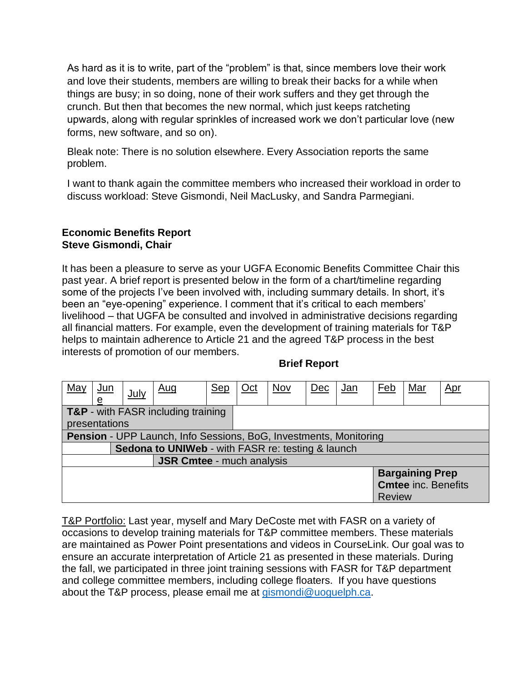As hard as it is to write, part of the "problem" is that, since members love their work and love their students, members are willing to break their backs for a while when things are busy; in so doing, none of their work suffers and they get through the crunch. But then that becomes the new normal, which just keeps ratcheting upwards, along with regular sprinkles of increased work we don't particular love (new forms, new software, and so on).

Bleak note: There is no solution elsewhere. Every Association reports the same problem.

I want to thank again the committee members who increased their workload in order to discuss workload: Steve Gismondi, Neil MacLusky, and Sandra Parmegiani.

#### **Economic Benefits Report Steve Gismondi, Chair**

It has been a pleasure to serve as your UGFA Economic Benefits Committee Chair this past year. A brief report is presented below in the form of a chart/timeline regarding some of the projects I've been involved with, including summary details. In short, it's been an "eye-opening" experience. I comment that it's critical to each members' livelihood – that UGFA be consulted and involved in administrative decisions regarding all financial matters. For example, even the development of training materials for T&P helps to maintain adherence to Article 21 and the agreed T&P process in the best interests of promotion of our members.

#### **Brief Report**

| May                                                               | <u>Jun</u>    | July | <u>Aug</u>                         | <u>Sep</u> | $Oct$ | <b>Nov</b> | Dec | <u>Jan</u>                 | Feb           | Mar | <u>Apr</u> |  |
|-------------------------------------------------------------------|---------------|------|------------------------------------|------------|-------|------------|-----|----------------------------|---------------|-----|------------|--|
|                                                                   | e             |      |                                    |            |       |            |     |                            |               |     |            |  |
|                                                                   |               |      | T&P - with FASR including training |            |       |            |     |                            |               |     |            |  |
|                                                                   | presentations |      |                                    |            |       |            |     |                            |               |     |            |  |
| Pension - UPP Launch, Info Sessions, BoG, Investments, Monitoring |               |      |                                    |            |       |            |     |                            |               |     |            |  |
| Sedona to UNIWeb - with FASR re: testing & launch                 |               |      |                                    |            |       |            |     |                            |               |     |            |  |
| <b>JSR Cmtee - much analysis</b>                                  |               |      |                                    |            |       |            |     |                            |               |     |            |  |
|                                                                   |               |      |                                    |            |       |            |     | <b>Bargaining Prep</b>     |               |     |            |  |
|                                                                   |               |      |                                    |            |       |            |     | <b>Cmtee inc. Benefits</b> |               |     |            |  |
|                                                                   |               |      |                                    |            |       |            |     |                            | <b>Review</b> |     |            |  |

T&P Portfolio: Last year, myself and Mary DeCoste met with FASR on a variety of occasions to develop training materials for T&P committee members. These materials are maintained as Power Point presentations and videos in CourseLink. Our goal was to ensure an accurate interpretation of Article 21 as presented in these materials. During the fall, we participated in three joint training sessions with FASR for T&P department and college committee members, including college floaters. If you have questions about the T&P process, please email me at [gismondi@uoguelph.ca.](mailto:gismondi@uoguelph.ca)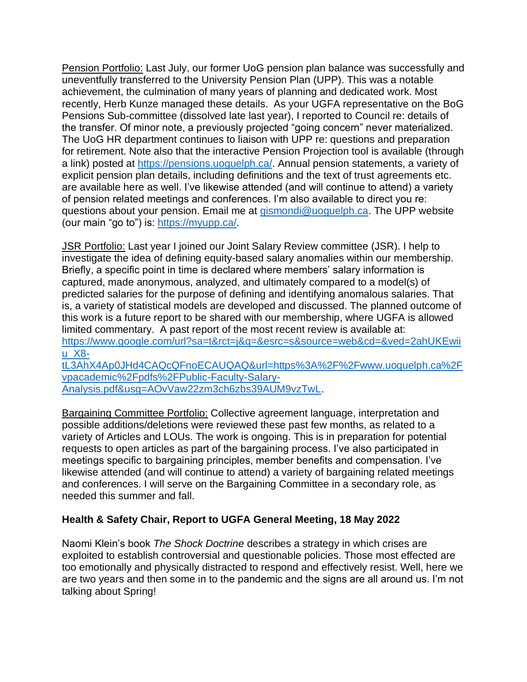Pension Portfolio: Last July, our former UoG pension plan balance was successfully and uneventfully transferred to the University Pension Plan (UPP). This was a notable achievement, the culmination of many years of planning and dedicated work. Most recently, Herb Kunze managed these details. As your UGFA representative on the BoG Pensions Sub-committee (dissolved late last year), I reported to Council re: details of the transfer. Of minor note, a previously projected "going concern" never materialized. The UoG HR department continues to liaison with UPP re: questions and preparation for retirement. Note also that the interactive Pension Projection tool is available (through a link) posted at [https://pensions.uoguelph.ca/.](https://pensions.uoguelph.ca/) Annual pension statements, a variety of explicit pension plan details, including definitions and the text of trust agreements etc. are available here as well. I've likewise attended (and will continue to attend) a variety of pension related meetings and conferences. I'm also available to direct you re: questions about your pension. Email me at [gismondi@uoguelph.ca.](mailto:gismondi@uoguelph.ca) The UPP website (our main "go to") is: [https://myupp.ca/.](https://myupp.ca/)

JSR Portfolio: Last year I joined our Joint Salary Review committee (JSR). I help to investigate the idea of defining equity-based salary anomalies within our membership. Briefly, a specific point in time is declared where members' salary information is captured, made anonymous, analyzed, and ultimately compared to a model(s) of predicted salaries for the purpose of defining and identifying anomalous salaries. That is, a variety of statistical models are developed and discussed. The planned outcome of this work is a future report to be shared with our membership, where UGFA is allowed limited commentary. A past report of the most recent review is available at: [https://www.google.com/url?sa=t&rct=j&q=&esrc=s&source=web&cd=&ved=2ahUKEwii](https://www.google.com/url?sa=t&rct=j&q=&esrc=s&source=web&cd=&ved=2ahUKEwiiu_X8-tL3AhX4Ap0JHd4CAQcQFnoECAUQAQ&url=https%3A%2F%2Fwww.uoguelph.ca%2Fvpacademic%2Fpdfs%2FPublic-Faculty-Salary-Analysis.pdf&usg=AOvVaw22zm3ch6zbs39AUM9vzTwL) [u\\_X8](https://www.google.com/url?sa=t&rct=j&q=&esrc=s&source=web&cd=&ved=2ahUKEwiiu_X8-tL3AhX4Ap0JHd4CAQcQFnoECAUQAQ&url=https%3A%2F%2Fwww.uoguelph.ca%2Fvpacademic%2Fpdfs%2FPublic-Faculty-Salary-Analysis.pdf&usg=AOvVaw22zm3ch6zbs39AUM9vzTwL) [tL3AhX4Ap0JHd4CAQcQFnoECAUQAQ&url=https%3A%2F%2Fwww.uoguelph.ca%2F](https://www.google.com/url?sa=t&rct=j&q=&esrc=s&source=web&cd=&ved=2ahUKEwiiu_X8-tL3AhX4Ap0JHd4CAQcQFnoECAUQAQ&url=https%3A%2F%2Fwww.uoguelph.ca%2Fvpacademic%2Fpdfs%2FPublic-Faculty-Salary-Analysis.pdf&usg=AOvVaw22zm3ch6zbs39AUM9vzTwL) [vpacademic%2Fpdfs%2FPublic-Faculty-Salary-](https://www.google.com/url?sa=t&rct=j&q=&esrc=s&source=web&cd=&ved=2ahUKEwiiu_X8-tL3AhX4Ap0JHd4CAQcQFnoECAUQAQ&url=https%3A%2F%2Fwww.uoguelph.ca%2Fvpacademic%2Fpdfs%2FPublic-Faculty-Salary-Analysis.pdf&usg=AOvVaw22zm3ch6zbs39AUM9vzTwL)

[Analysis.pdf&usg=AOvVaw22zm3ch6zbs39AUM9vzTwL.](https://www.google.com/url?sa=t&rct=j&q=&esrc=s&source=web&cd=&ved=2ahUKEwiiu_X8-tL3AhX4Ap0JHd4CAQcQFnoECAUQAQ&url=https%3A%2F%2Fwww.uoguelph.ca%2Fvpacademic%2Fpdfs%2FPublic-Faculty-Salary-Analysis.pdf&usg=AOvVaw22zm3ch6zbs39AUM9vzTwL)

Bargaining Committee Portfolio: Collective agreement language, interpretation and possible additions/deletions were reviewed these past few months, as related to a variety of Articles and LOUs. The work is ongoing. This is in preparation for potential requests to open articles as part of the bargaining process. I've also participated in meetings specific to bargaining principles, member benefits and compensation. I've likewise attended (and will continue to attend) a variety of bargaining related meetings and conferences. I will serve on the Bargaining Committee in a secondary role, as needed this summer and fall.

# **Health & Safety Chair, Report to UGFA General Meeting, 18 May 2022**

Naomi Klein's book *The Shock Doctrine* describes a strategy in which crises are exploited to establish controversial and questionable policies. Those most effected are too emotionally and physically distracted to respond and effectively resist. Well, here we are two years and then some in to the pandemic and the signs are all around us. I'm not talking about Spring!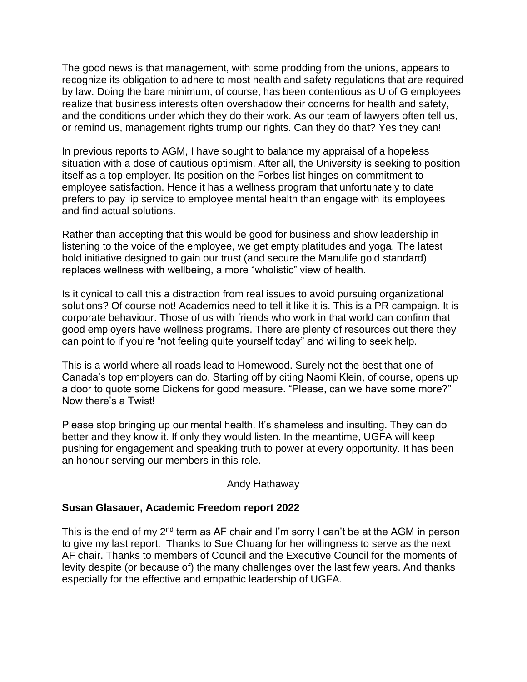The good news is that management, with some prodding from the unions, appears to recognize its obligation to adhere to most health and safety regulations that are required by law. Doing the bare minimum, of course, has been contentious as U of G employees realize that business interests often overshadow their concerns for health and safety, and the conditions under which they do their work. As our team of lawyers often tell us, or remind us, management rights trump our rights. Can they do that? Yes they can!

In previous reports to AGM, I have sought to balance my appraisal of a hopeless situation with a dose of cautious optimism. After all, the University is seeking to position itself as a top employer. Its position on the Forbes list hinges on commitment to employee satisfaction. Hence it has a wellness program that unfortunately to date prefers to pay lip service to employee mental health than engage with its employees and find actual solutions.

Rather than accepting that this would be good for business and show leadership in listening to the voice of the employee, we get empty platitudes and yoga. The latest bold initiative designed to gain our trust (and secure the Manulife gold standard) replaces wellness with wellbeing, a more "wholistic" view of health.

Is it cynical to call this a distraction from real issues to avoid pursuing organizational solutions? Of course not! Academics need to tell it like it is. This is a PR campaign. It is corporate behaviour. Those of us with friends who work in that world can confirm that good employers have wellness programs. There are plenty of resources out there they can point to if you're "not feeling quite yourself today" and willing to seek help.

This is a world where all roads lead to Homewood. Surely not the best that one of Canada's top employers can do. Starting off by citing Naomi Klein, of course, opens up a door to quote some Dickens for good measure. "Please, can we have some more?" Now there's a Twist!

Please stop bringing up our mental health. It's shameless and insulting. They can do better and they know it. If only they would listen. In the meantime, UGFA will keep pushing for engagement and speaking truth to power at every opportunity. It has been an honour serving our members in this role.

#### Andy Hathaway

#### **Susan Glasauer, Academic Freedom report 2022**

This is the end of my  $2^{nd}$  term as AF chair and I'm sorry I can't be at the AGM in person to give my last report. Thanks to Sue Chuang for her willingness to serve as the next AF chair. Thanks to members of Council and the Executive Council for the moments of levity despite (or because of) the many challenges over the last few years. And thanks especially for the effective and empathic leadership of UGFA.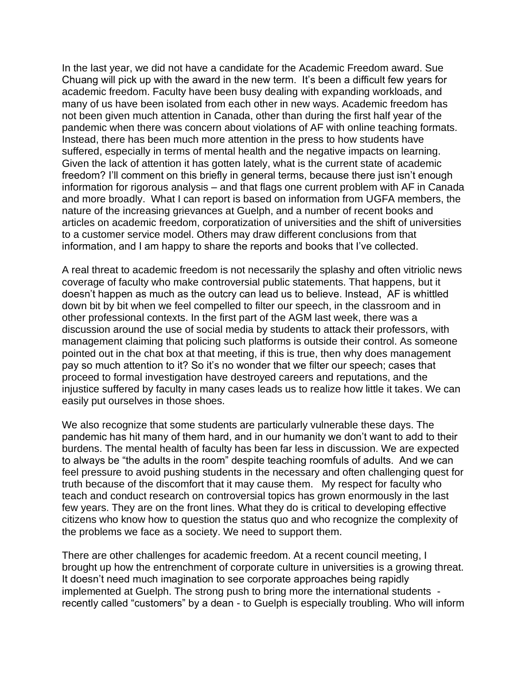In the last year, we did not have a candidate for the Academic Freedom award. Sue Chuang will pick up with the award in the new term. It's been a difficult few years for academic freedom. Faculty have been busy dealing with expanding workloads, and many of us have been isolated from each other in new ways. Academic freedom has not been given much attention in Canada, other than during the first half year of the pandemic when there was concern about violations of AF with online teaching formats. Instead, there has been much more attention in the press to how students have suffered, especially in terms of mental health and the negative impacts on learning. Given the lack of attention it has gotten lately, what is the current state of academic freedom? I'll comment on this briefly in general terms, because there just isn't enough information for rigorous analysis – and that flags one current problem with AF in Canada and more broadly. What I can report is based on information from UGFA members, the nature of the increasing grievances at Guelph, and a number of recent books and articles on academic freedom, corporatization of universities and the shift of universities to a customer service model. Others may draw different conclusions from that information, and I am happy to share the reports and books that I've collected.

A real threat to academic freedom is not necessarily the splashy and often vitriolic news coverage of faculty who make controversial public statements. That happens, but it doesn't happen as much as the outcry can lead us to believe. Instead, AF is whittled down bit by bit when we feel compelled to filter our speech, in the classroom and in other professional contexts. In the first part of the AGM last week, there was a discussion around the use of social media by students to attack their professors, with management claiming that policing such platforms is outside their control. As someone pointed out in the chat box at that meeting, if this is true, then why does management pay so much attention to it? So it's no wonder that we filter our speech; cases that proceed to formal investigation have destroyed careers and reputations, and the injustice suffered by faculty in many cases leads us to realize how little it takes. We can easily put ourselves in those shoes.

We also recognize that some students are particularly vulnerable these days. The pandemic has hit many of them hard, and in our humanity we don't want to add to their burdens. The mental health of faculty has been far less in discussion. We are expected to always be "the adults in the room" despite teaching roomfuls of adults. And we can feel pressure to avoid pushing students in the necessary and often challenging quest for truth because of the discomfort that it may cause them. My respect for faculty who teach and conduct research on controversial topics has grown enormously in the last few years. They are on the front lines. What they do is critical to developing effective citizens who know how to question the status quo and who recognize the complexity of the problems we face as a society. We need to support them.

There are other challenges for academic freedom. At a recent council meeting, I brought up how the entrenchment of corporate culture in universities is a growing threat. It doesn't need much imagination to see corporate approaches being rapidly implemented at Guelph. The strong push to bring more the international students recently called "customers" by a dean - to Guelph is especially troubling. Who will inform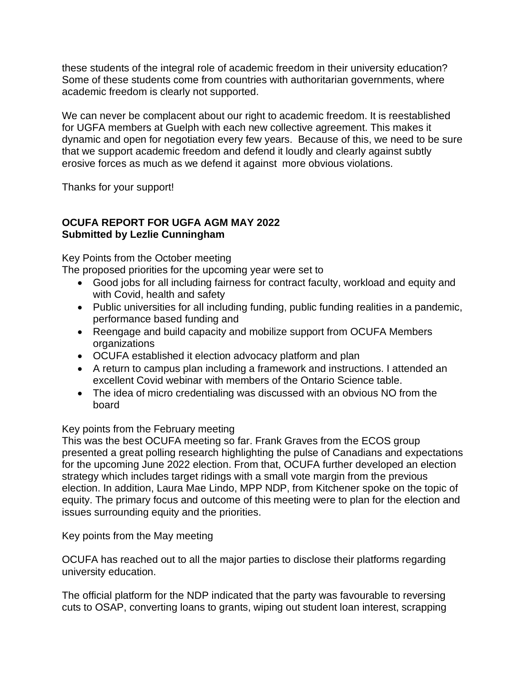these students of the integral role of academic freedom in their university education? Some of these students come from countries with authoritarian governments, where academic freedom is clearly not supported.

We can never be complacent about our right to academic freedom. It is reestablished for UGFA members at Guelph with each new collective agreement. This makes it dynamic and open for negotiation every few years. Because of this, we need to be sure that we support academic freedom and defend it loudly and clearly against subtly erosive forces as much as we defend it against more obvious violations.

Thanks for your support!

# **OCUFA REPORT FOR UGFA AGM MAY 2022 Submitted by Lezlie Cunningham**

Key Points from the October meeting

The proposed priorities for the upcoming year were set to

- Good jobs for all including fairness for contract faculty, workload and equity and with Covid, health and safety
- Public universities for all including funding, public funding realities in a pandemic, performance based funding and
- Reengage and build capacity and mobilize support from OCUFA Members organizations
- OCUFA established it election advocacy platform and plan
- A return to campus plan including a framework and instructions. I attended an excellent Covid webinar with members of the Ontario Science table.
- The idea of micro credentialing was discussed with an obvious NO from the board

# Key points from the February meeting

This was the best OCUFA meeting so far. Frank Graves from the ECOS group presented a great polling research highlighting the pulse of Canadians and expectations for the upcoming June 2022 election. From that, OCUFA further developed an election strategy which includes target ridings with a small vote margin from the previous election. In addition, Laura Mae Lindo, MPP NDP, from Kitchener spoke on the topic of equity. The primary focus and outcome of this meeting were to plan for the election and issues surrounding equity and the priorities.

Key points from the May meeting

OCUFA has reached out to all the major parties to disclose their platforms regarding university education.

The official platform for the NDP indicated that the party was favourable to reversing cuts to OSAP, converting loans to grants, wiping out student loan interest, scrapping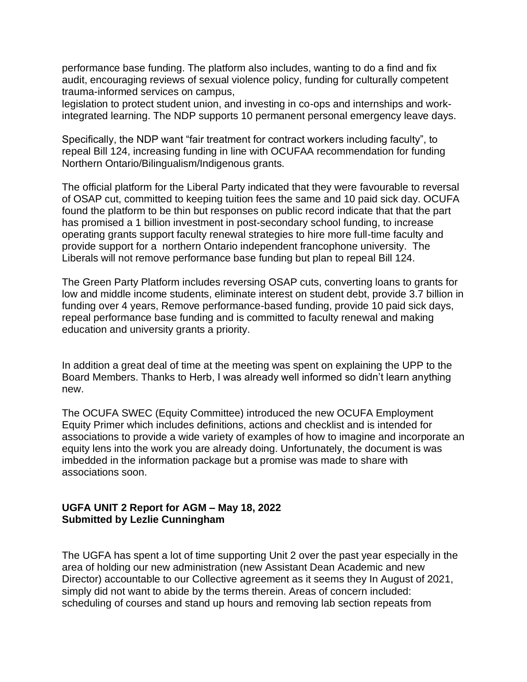performance base funding. The platform also includes, wanting to do a find and fix audit, encouraging reviews of sexual violence policy, funding for culturally competent trauma-informed services on campus,

legislation to protect student union, and investing in co-ops and internships and workintegrated learning. The NDP supports 10 permanent personal emergency leave days.

Specifically, the NDP want "fair treatment for contract workers including faculty", to repeal Bill 124, increasing funding in line with OCUFAA recommendation for funding Northern Ontario/Bilingualism/Indigenous grants.

The official platform for the Liberal Party indicated that they were favourable to reversal of OSAP cut, committed to keeping tuition fees the same and 10 paid sick day. OCUFA found the platform to be thin but responses on public record indicate that that the part has promised a 1 billion investment in post-secondary school funding, to increase operating grants support faculty renewal strategies to hire more full-time faculty and provide support for a northern Ontario independent francophone university. The Liberals will not remove performance base funding but plan to repeal Bill 124.

The Green Party Platform includes reversing OSAP cuts, converting loans to grants for low and middle income students, eliminate interest on student debt, provide 3.7 billion in funding over 4 years, Remove performance-based funding, provide 10 paid sick days, repeal performance base funding and is committed to faculty renewal and making education and university grants a priority.

In addition a great deal of time at the meeting was spent on explaining the UPP to the Board Members. Thanks to Herb, I was already well informed so didn't learn anything new.

The OCUFA SWEC (Equity Committee) introduced the new OCUFA Employment Equity Primer which includes definitions, actions and checklist and is intended for associations to provide a wide variety of examples of how to imagine and incorporate an equity lens into the work you are already doing. Unfortunately, the document is was imbedded in the information package but a promise was made to share with associations soon.

#### **UGFA UNIT 2 Report for AGM – May 18, 2022 Submitted by Lezlie Cunningham**

The UGFA has spent a lot of time supporting Unit 2 over the past year especially in the area of holding our new administration (new Assistant Dean Academic and new Director) accountable to our Collective agreement as it seems they In August of 2021, simply did not want to abide by the terms therein. Areas of concern included: scheduling of courses and stand up hours and removing lab section repeats from